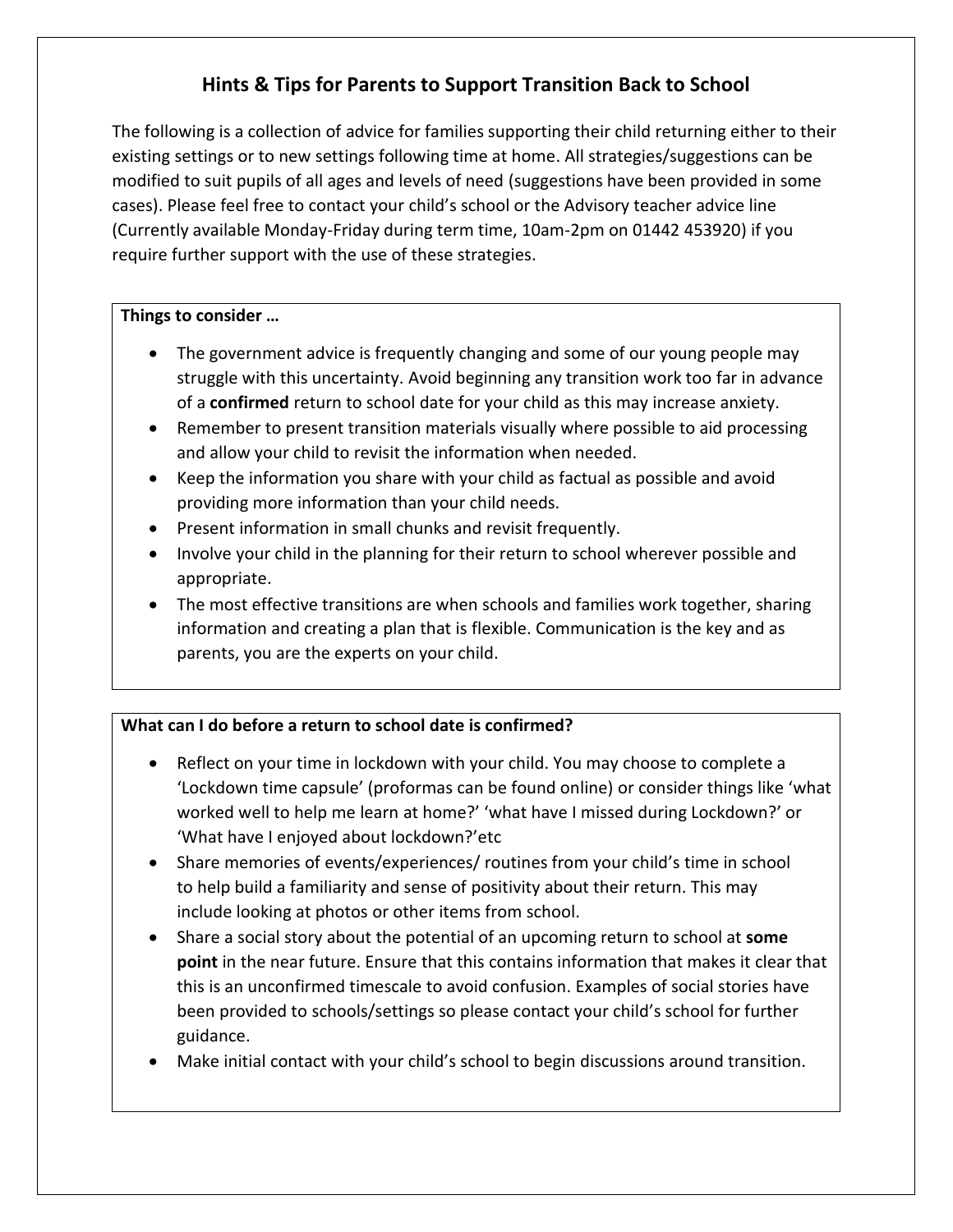# **Hints & Tips for Parents to Support Transition Back to School**

The following is a collection of advice for families supporting their child returning either to their existing settings or to new settings following time at home. All strategies/suggestions can be modified to suit pupils of all ages and levels of need (suggestions have been provided in some cases). Please feel free to contact your child's school or the Advisory teacher advice line (Currently available Monday-Friday during term time, 10am-2pm on 01442 453920) if you require further support with the use of these strategies.

## **Things to consider …**

- The government advice is frequently changing and some of our young people may struggle with this uncertainty. Avoid beginning any transition work too far in advance of a **confirmed** return to school date for your child as this may increase anxiety.
- Remember to present transition materials visually where possible to aid processing and allow your child to revisit the information when needed.
- Keep the information you share with your child as factual as possible and avoid providing more information than your child needs.
- Present information in small chunks and revisit frequently.
- Involve your child in the planning for their return to school wherever possible and appropriate.
- The most effective transitions are when schools and families work together, sharing information and creating a plan that is flexible. Communication is the key and as parents, you are the experts on your child.

## **What can I do before a return to school date is confirmed?**

- Reflect on your time in lockdown with your child. You may choose to complete a 'Lockdown time capsule' (proformas can be found online) or consider things like 'what worked well to help me learn at home?' 'what have I missed during Lockdown?' or 'What have I enjoyed about lockdown?'etc
- Share memories of events/experiences/ routines from your child's time in school to help build a familiarity and sense of positivity about their return. This may include looking at photos or other items from school.
- Share a social story about the potential of an upcoming return to school at **some point** in the near future. Ensure that this contains information that makes it clear that this is an unconfirmed timescale to avoid confusion. Examples of social stories have been provided to schools/settings so please contact your child's school for further guidance.
- Make initial contact with your child's school to begin discussions around transition.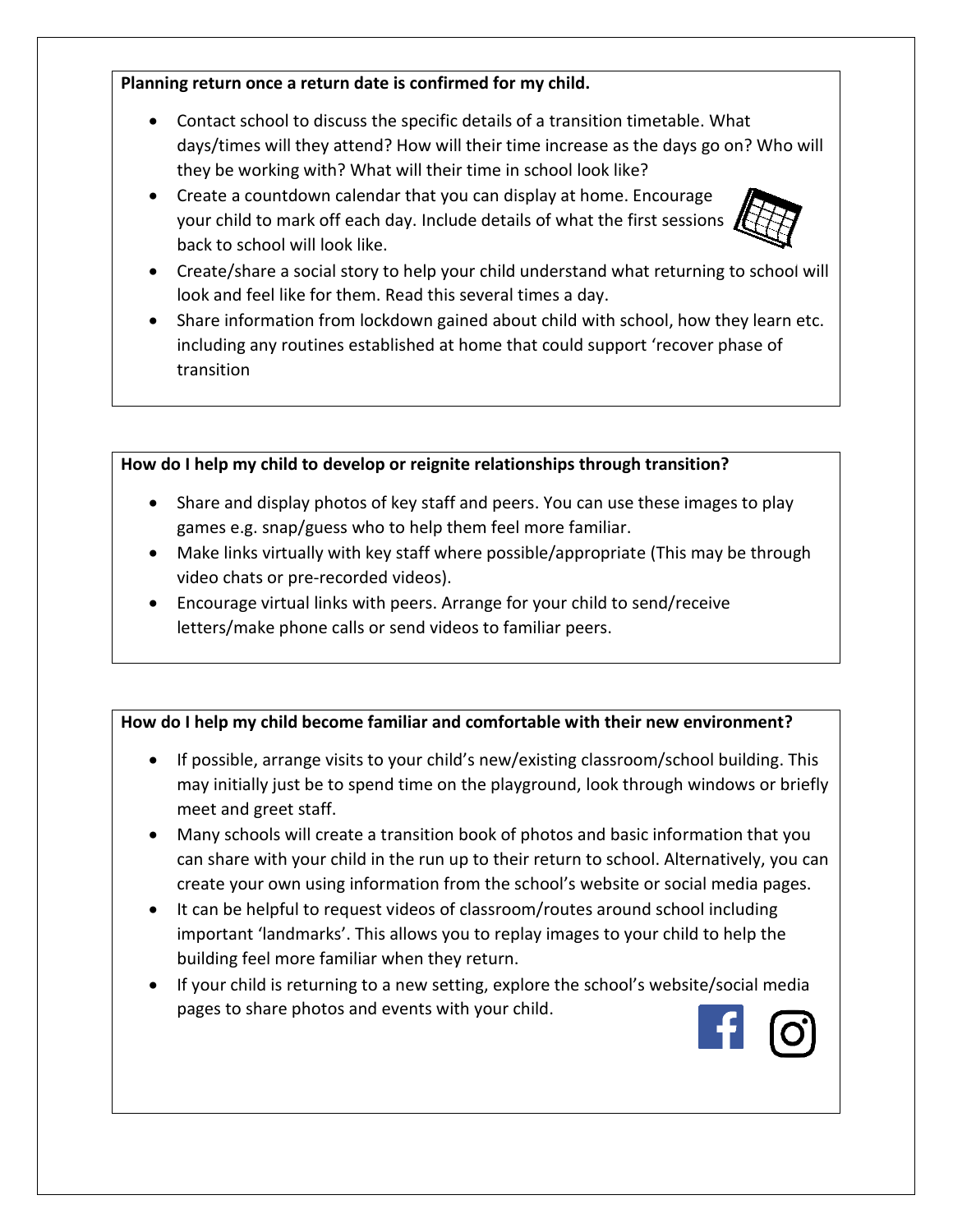#### **Planning return once a return date is confirmed for my child.**

- Contact school to discuss the specific details of a transition timetable. What days/times will they attend? How will their time increase as the days go on? Who will they be working with? What will their time in school look like?
- Create a countdown calendar that you can display at home. Encourage your child to mark off each day. Include details of what the first sessions back to school will look like.



- Create/share a social story to help your child understand what returnin[g to schoo](https://commons.wikimedia.org/wiki/File:Calendar_Noun_project_1194.svg)l will look and feel like for them. Read this several times a day.
- Share information from lockdown gained about child with school, how they learn etc. including any routines established at home that could support 'recover phas[e of](https://creativecommons.org/licenses/by-sa/3.0/)  transition

## **How do I help my child to develop or reignite relationships through transition?**

- Share and display photos of key staff and peers. You can use these images to play games e.g. snap/guess who to help them feel more familiar.
- Make links virtually with key staff where possible/appropriate (This may be through video chats or pre-recorded videos).
- Encourage virtual links with peers. Arrange for your child to send/receive letters/make phone calls or send videos to familiar peers.

## **How do I help my child become familiar and comfortable with their new environment?**

- If possible, arrange visits to your child's new/existing classroom/school building. This may initially just be to spend time on the playground, look through windows or briefly meet and greet staff.
- Many schools will create a transition book of photos and basic information that you can share with your child in the run up to their return to school. Alternatively, you can create your own using information from the school's website or social media pages.
- It can be helpful to request videos of classroom/routes around school including important 'landmarks'. This allows you to replay images to your child to help the building feel more familiar when they return.
- If your child is returning to a new setting, explore the school's website/social media pages to share photos and events with your child.

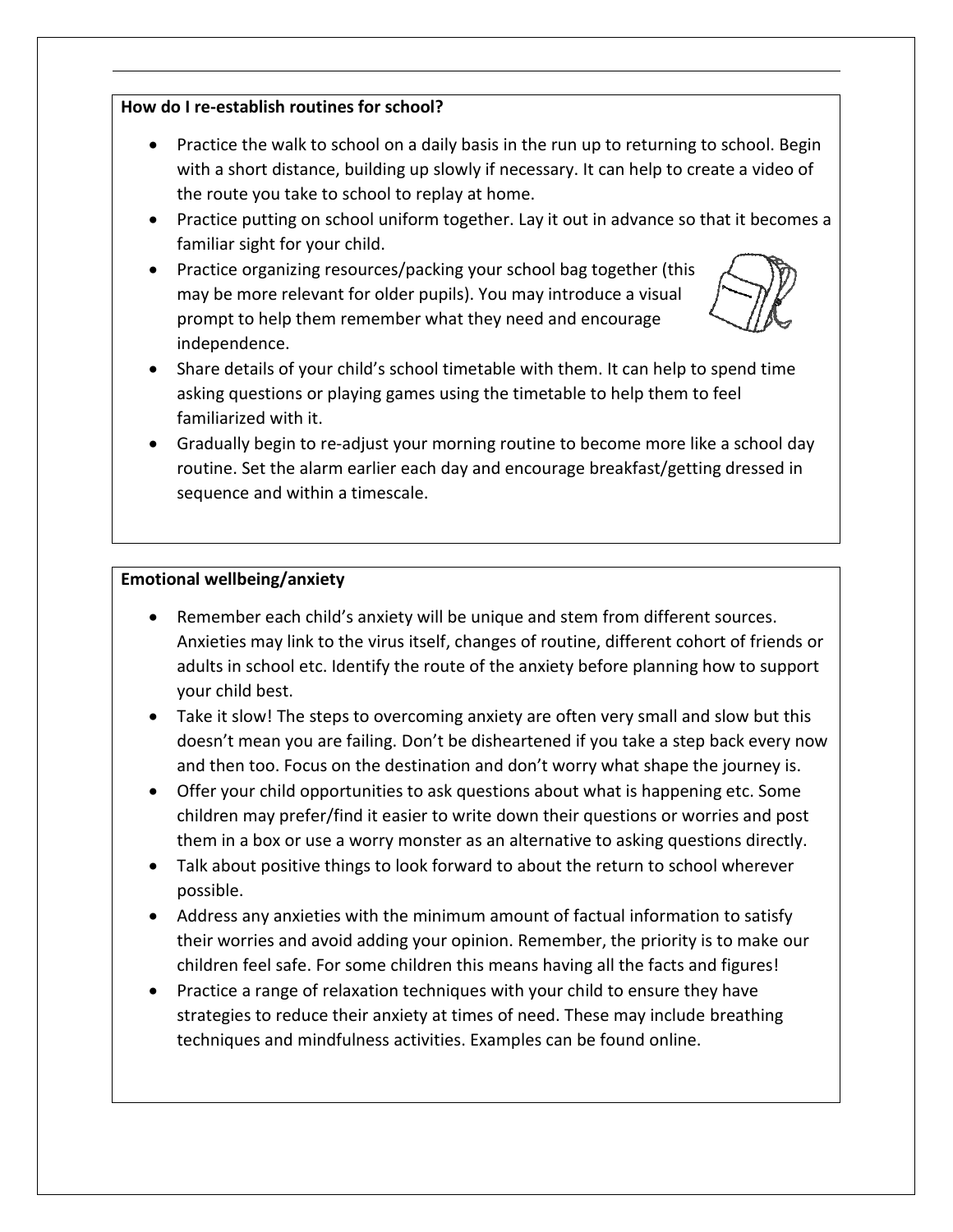#### **How do I re-establish routines for school?**

- Practice the walk to school on a daily basis in the run up to returning to school. Begin with a short distance, building up slowly if necessary. It can help to create a video of the route you take to school to replay at home.
- Practice putting on school uniform together. Lay it out in advance so that it becomes a familiar sight for your child.
- Practice organizing resources/packing your school bag together (this may be more relevant for older pupils). You may introduce a visual prompt to help them remember what they need and encourage independence.



- Share details of your child's school timetable with them. It can help to spend time asking questions or playing games using the timetable to help them to feel familiarized with it.
- Gradually begin to re-adjust your morning routine to become more like a school day routine. Set the alarm earlier each day and encourage breakfast/getting dressed in sequence and within a timescale.

#### **Emotional wellbeing/anxiety**

- Remember each child's anxiety will be unique and stem from different sources. Anxieties may link to the virus itself, changes of routine, different cohort of friends or adults in school etc. Identify the route of the anxiety before planning how to support your child best.
- Take it slow! The steps to overcoming anxiety are often very small and slow but this doesn't mean you are failing. Don't be disheartened if you take a step back every now and then too. Focus on the destination and don't worry what shape the journey is.
- Offer your child opportunities to ask questions about what is happening etc. Some children may prefer/find it easier to write down their questions or worries and post them in a box or use a worry monster as an alternative to asking questions directly.
- Talk about positive things to look forward to about the return to school wherever possible.
- Address any anxieties with the minimum amount of factual information to satisfy their worries and avoid adding your opinion. Remember, the priority is to make our children feel safe. For some children this means having all the facts and figures!
- Practice a range of relaxation techniques with your child to ensure they have strategies to reduce their anxiety at times of need. These may include breathing techniques and mindfulness activities. Examples can be found online.